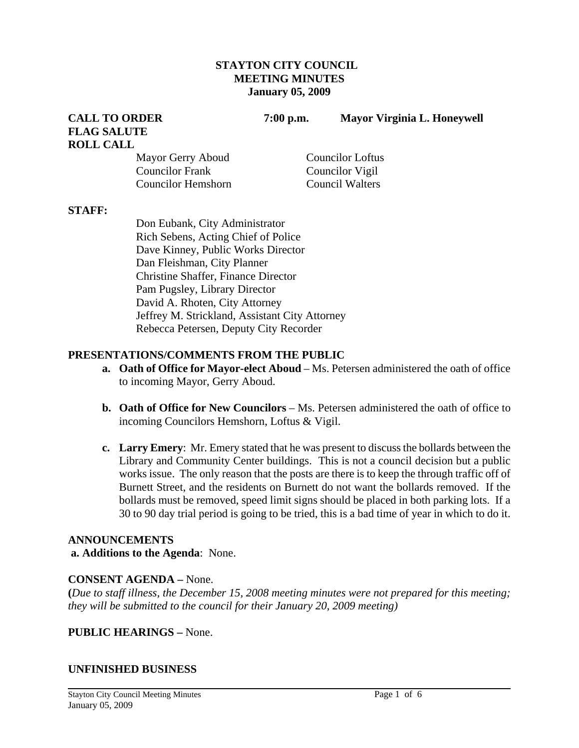#### **STAYTON CITY COUNCIL MEETING MINUTES January 05, 2009**

**CALL TO ORDER 7:00 p.m. Mayor Virginia L. Honeywell** 

# **FLAG SALUTE ROLL CALL**

Mayor Gerry Aboud Councilor Loftus Councilor Frank Councilor Vigil Councilor Hemshorn Council Walters

#### **STAFF:**

Don Eubank, City Administrator Rich Sebens, Acting Chief of Police Dave Kinney, Public Works Director Dan Fleishman, City Planner Christine Shaffer, Finance Director Pam Pugsley, Library Director David A. Rhoten, City Attorney Jeffrey M. Strickland, Assistant City Attorney Rebecca Petersen, Deputy City Recorder

# **PRESENTATIONS/COMMENTS FROM THE PUBLIC**

- **a. Oath of Office for Mayor-elect Aboud** Ms. Petersen administered the oath of office to incoming Mayor, Gerry Aboud.
- **b. Oath of Office for New Councilors**  Ms. Petersen administered the oath of office to incoming Councilors Hemshorn, Loftus & Vigil.
- **c. Larry Emery**: Mr. Emery stated that he was present to discuss the bollards between the Library and Community Center buildings. This is not a council decision but a public works issue. The only reason that the posts are there is to keep the through traffic off of Burnett Street, and the residents on Burnett do not want the bollards removed. If the bollards must be removed, speed limit signs should be placed in both parking lots. If a 30 to 90 day trial period is going to be tried, this is a bad time of year in which to do it.

#### **ANNOUNCEMENTS**

#### **a. Additions to the Agenda**: None.

# **CONSENT AGENDA –** None.

**(***Due to staff illness, the December 15, 2008 meeting minutes were not prepared for this meeting; they will be submitted to the council for their January 20, 2009 meeting)* 

# **PUBLIC HEARINGS –** None.

# **UNFINISHED BUSINESS**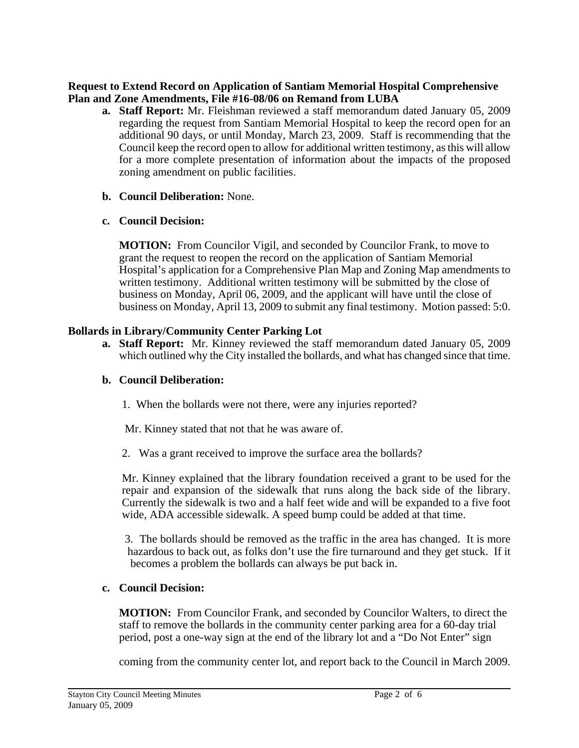# **Request to Extend Record on Application of Santiam Memorial Hospital Comprehensive Plan and Zone Amendments, File #16-08/06 on Remand from LUBA**

- **a. Staff Report:** Mr. Fleishman reviewed a staff memorandum dated January 05, 2009 regarding the request from Santiam Memorial Hospital to keep the record open for an additional 90 days, or until Monday, March 23, 2009. Staff is recommending that the Council keep the record open to allow for additional written testimony, as this will allow for a more complete presentation of information about the impacts of the proposed zoning amendment on public facilities.
- **b. Council Deliberation:** None.
- **c. Council Decision:**

 **MOTION:** From Councilor Vigil, and seconded by Councilor Frank, to move to grant the request to reopen the record on the application of Santiam Memorial Hospital's application for a Comprehensive Plan Map and Zoning Map amendments to written testimony. Additional written testimony will be submitted by the close of business on Monday, April 06, 2009, and the applicant will have until the close of business on Monday, April 13, 2009 to submit any final testimony. Motion passed: 5:0.

# **Bollards in Library/Community Center Parking Lot**

**a. Staff Report:** Mr. Kinney reviewed the staff memorandum dated January 05, 2009 which outlined why the City installed the bollards, and what has changed since that time.

# **b. Council Deliberation:**

1. When the bollards were not there, were any injuries reported?

Mr. Kinney stated that not that he was aware of.

2. Was a grant received to improve the surface area the bollards?

Mr. Kinney explained that the library foundation received a grant to be used for the repair and expansion of the sidewalk that runs along the back side of the library. Currently the sidewalk is two and a half feet wide and will be expanded to a five foot wide, ADA accessible sidewalk. A speed bump could be added at that time.

 3. The bollards should be removed as the traffic in the area has changed. It is more hazardous to back out, as folks don't use the fire turnaround and they get stuck. If it becomes a problem the bollards can always be put back in.

# **c. Council Decision:**

 **MOTION:** From Councilor Frank, and seconded by Councilor Walters, to direct the staff to remove the bollards in the community center parking area for a 60-day trial period, post a one-way sign at the end of the library lot and a "Do Not Enter" sign

coming from the community center lot, and report back to the Council in March 2009.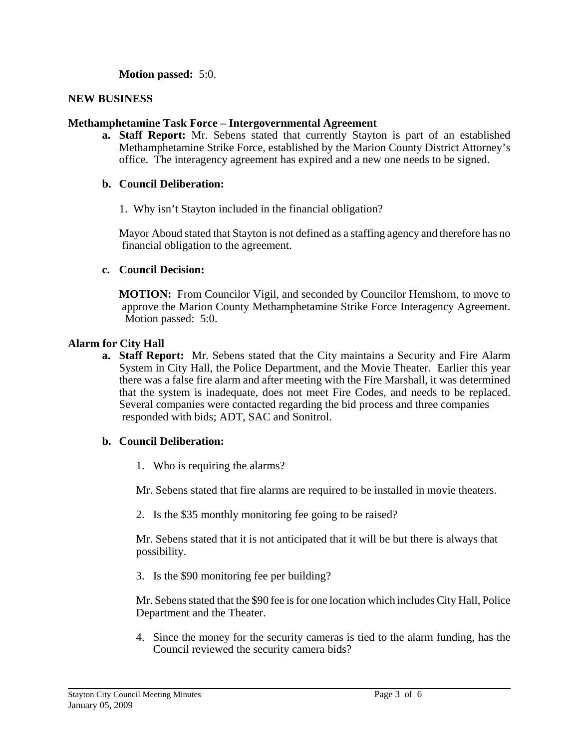**Motion passed:** 5:0.

## **NEW BUSINESS**

## **Methamphetamine Task Force – Intergovernmental Agreement**

**a. Staff Report:** Mr. Sebens stated that currently Stayton is part of an established Methamphetamine Strike Force, established by the Marion County District Attorney's office. The interagency agreement has expired and a new one needs to be signed.

#### **b. Council Deliberation:**

1. Why isn't Stayton included in the financial obligation?

 Mayor Aboud stated that Stayton is not defined as a staffing agency and therefore has no financial obligation to the agreement.

#### **c. Council Decision:**

 **MOTION:** From Councilor Vigil, and seconded by Councilor Hemshorn, to move to approve the Marion County Methamphetamine Strike Force Interagency Agreement. Motion passed: 5:0.

#### **Alarm for City Hall**

**a. Staff Report:** Mr. Sebens stated that the City maintains a Security and Fire Alarm System in City Hall, the Police Department, and the Movie Theater. Earlier this year there was a false fire alarm and after meeting with the Fire Marshall, it was determined that the system is inadequate, does not meet Fire Codes, and needs to be replaced. Several companies were contacted regarding the bid process and three companies responded with bids; ADT, SAC and Sonitrol.

#### **b. Council Deliberation:**

1. Who is requiring the alarms?

Mr. Sebens stated that fire alarms are required to be installed in movie theaters.

2. Is the \$35 monthly monitoring fee going to be raised?

 Mr. Sebens stated that it is not anticipated that it will be but there is always that possibility.

3. Is the \$90 monitoring fee per building?

 Mr. Sebens stated that the \$90 fee is for one location which includes City Hall, Police Department and the Theater.

4. Since the money for the security cameras is tied to the alarm funding, has the Council reviewed the security camera bids?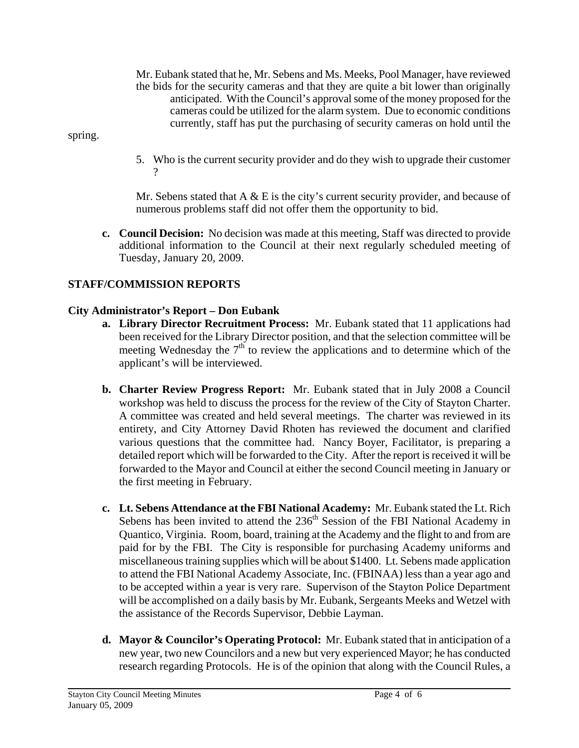Mr. Eubank stated that he, Mr. Sebens and Ms. Meeks, Pool Manager, have reviewed the bids for the security cameras and that they are quite a bit lower than originally anticipated. With the Council's approval some of the money proposed for the cameras could be utilized for the alarm system. Due to economic conditions currently, staff has put the purchasing of security cameras on hold until the

spring.

5. Who is the current security provider and do they wish to upgrade their customer ?

Mr. Sebens stated that  $A \& E$  is the city's current security provider, and because of numerous problems staff did not offer them the opportunity to bid.

**c. Council Decision:** No decision was made at this meeting, Staff was directed to provide additional information to the Council at their next regularly scheduled meeting of Tuesday, January 20, 2009.

# **STAFF/COMMISSION REPORTS**

# **City Administrator's Report – Don Eubank**

- **a. Library Director Recruitment Process:** Mr. Eubank stated that 11 applications had been received for the Library Director position, and that the selection committee will be meeting Wednesday the  $7<sup>th</sup>$  to review the applications and to determine which of the applicant's will be interviewed.
- **b. Charter Review Progress Report:** Mr. Eubank stated that in July 2008 a Council workshop was held to discuss the process for the review of the City of Stayton Charter. A committee was created and held several meetings. The charter was reviewed in its entirety, and City Attorney David Rhoten has reviewed the document and clarified various questions that the committee had. Nancy Boyer, Facilitator, is preparing a detailed report which will be forwarded to the City. After the report is received it will be forwarded to the Mayor and Council at either the second Council meeting in January or the first meeting in February.
- **c. Lt. Sebens Attendance at the FBI National Academy:** Mr. Eubank stated the Lt. Rich Sebens has been invited to attend the  $236<sup>th</sup>$  Session of the FBI National Academy in Quantico, Virginia. Room, board, training at the Academy and the flight to and from are paid for by the FBI. The City is responsible for purchasing Academy uniforms and miscellaneous training supplies which will be about \$1400. Lt. Sebens made application to attend the FBI National Academy Associate, Inc. (FBINAA) less than a year ago and to be accepted within a year is very rare. Supervison of the Stayton Police Department will be accomplished on a daily basis by Mr. Eubank, Sergeants Meeks and Wetzel with the assistance of the Records Supervisor, Debbie Layman.
- **d. Mayor & Councilor's Operating Protocol:** Mr. Eubank stated that in anticipation of a new year, two new Councilors and a new but very experienced Mayor; he has conducted research regarding Protocols. He is of the opinion that along with the Council Rules, a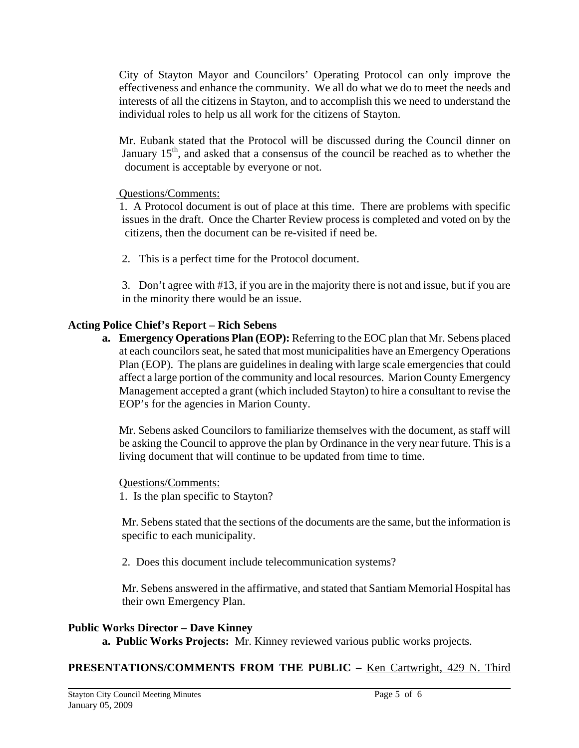City of Stayton Mayor and Councilors' Operating Protocol can only improve the effectiveness and enhance the community. We all do what we do to meet the needs and interests of all the citizens in Stayton, and to accomplish this we need to understand the individual roles to help us all work for the citizens of Stayton.

Mr. Eubank stated that the Protocol will be discussed during the Council dinner on January  $15<sup>th</sup>$ , and asked that a consensus of the council be reached as to whether the document is acceptable by everyone or not.

# Questions/Comments:

 1. A Protocol document is out of place at this time. There are problems with specific issues in the draft. Once the Charter Review process is completed and voted on by the citizens, then the document can be re-visited if need be.

2. This is a perfect time for the Protocol document.

3. Don't agree with #13, if you are in the majority there is not and issue, but if you are in the minority there would be an issue.

# **Acting Police Chief's Report – Rich Sebens**

**a. Emergency Operations Plan (EOP):** Referring to the EOC plan that Mr. Sebens placed at each councilors seat, he sated that most municipalities have an Emergency Operations Plan (EOP). The plans are guidelines in dealing with large scale emergencies that could affect a large portion of the community and local resources. Marion County Emergency Management accepted a grant (which included Stayton) to hire a consultant to revise the EOP's for the agencies in Marion County.

Mr. Sebens asked Councilors to familiarize themselves with the document, as staff will be asking the Council to approve the plan by Ordinance in the very near future. This is a living document that will continue to be updated from time to time.

# Questions/Comments:

1. Is the plan specific to Stayton?

Mr. Sebens stated that the sections of the documents are the same, but the information is specific to each municipality.

2. Does this document include telecommunication systems?

Mr. Sebens answered in the affirmative, and stated that Santiam Memorial Hospital has their own Emergency Plan.

# **Public Works Director – Dave Kinney**

 **a. Public Works Projects:** Mr. Kinney reviewed various public works projects.

**PRESENTATIONS/COMMENTS FROM THE PUBLIC –** Ken Cartwright, 429 N. Third